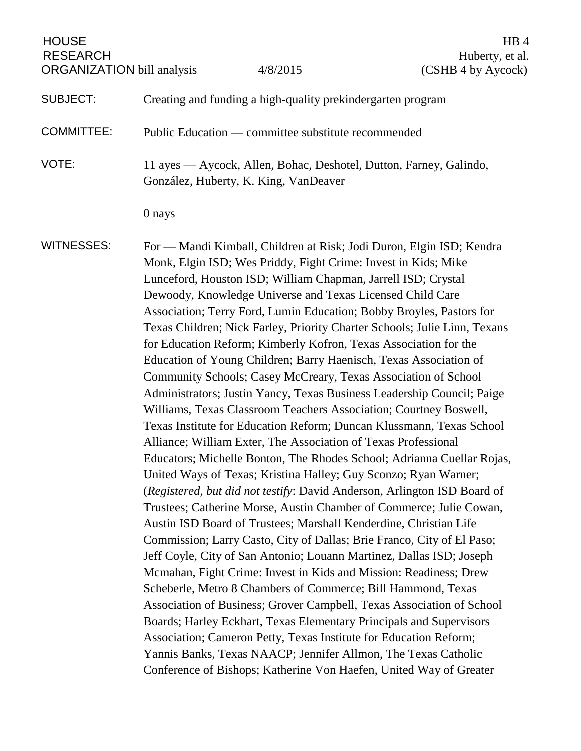| <b>HOUSE</b><br><b>RESEARCH</b><br><b>ORGANIZATION</b> bill analysis |                                                                                                                                                                                                                                                                                                                                                                                                                                                                                                                                                                                                                                                                                                                                                                                                                                                                                                                                                                                                                                                                                                                                                                                                                                                                                                                                                                                                                                                                                                                                                                                                                                                                                                                                                                                                                                                                                                                                                        | 4/8/2015                                                    | HB <sub>4</sub><br>Huberty, et al.<br>(CSHB 4 by Aycock)           |
|----------------------------------------------------------------------|--------------------------------------------------------------------------------------------------------------------------------------------------------------------------------------------------------------------------------------------------------------------------------------------------------------------------------------------------------------------------------------------------------------------------------------------------------------------------------------------------------------------------------------------------------------------------------------------------------------------------------------------------------------------------------------------------------------------------------------------------------------------------------------------------------------------------------------------------------------------------------------------------------------------------------------------------------------------------------------------------------------------------------------------------------------------------------------------------------------------------------------------------------------------------------------------------------------------------------------------------------------------------------------------------------------------------------------------------------------------------------------------------------------------------------------------------------------------------------------------------------------------------------------------------------------------------------------------------------------------------------------------------------------------------------------------------------------------------------------------------------------------------------------------------------------------------------------------------------------------------------------------------------------------------------------------------------|-------------------------------------------------------------|--------------------------------------------------------------------|
| <b>SUBJECT:</b>                                                      |                                                                                                                                                                                                                                                                                                                                                                                                                                                                                                                                                                                                                                                                                                                                                                                                                                                                                                                                                                                                                                                                                                                                                                                                                                                                                                                                                                                                                                                                                                                                                                                                                                                                                                                                                                                                                                                                                                                                                        | Creating and funding a high-quality prekindergarten program |                                                                    |
| <b>COMMITTEE:</b>                                                    |                                                                                                                                                                                                                                                                                                                                                                                                                                                                                                                                                                                                                                                                                                                                                                                                                                                                                                                                                                                                                                                                                                                                                                                                                                                                                                                                                                                                                                                                                                                                                                                                                                                                                                                                                                                                                                                                                                                                                        | Public Education — committee substitute recommended         |                                                                    |
| VOTE:                                                                |                                                                                                                                                                                                                                                                                                                                                                                                                                                                                                                                                                                                                                                                                                                                                                                                                                                                                                                                                                                                                                                                                                                                                                                                                                                                                                                                                                                                                                                                                                                                                                                                                                                                                                                                                                                                                                                                                                                                                        | González, Huberty, K. King, VanDeaver                       | 11 ayes — Aycock, Allen, Bohac, Deshotel, Dutton, Farney, Galindo, |
|                                                                      | 0 nays                                                                                                                                                                                                                                                                                                                                                                                                                                                                                                                                                                                                                                                                                                                                                                                                                                                                                                                                                                                                                                                                                                                                                                                                                                                                                                                                                                                                                                                                                                                                                                                                                                                                                                                                                                                                                                                                                                                                                 |                                                             |                                                                    |
| <b>WITNESSES:</b>                                                    | For — Mandi Kimball, Children at Risk; Jodi Duron, Elgin ISD; Kendra<br>Monk, Elgin ISD; Wes Priddy, Fight Crime: Invest in Kids; Mike<br>Lunceford, Houston ISD; William Chapman, Jarrell ISD; Crystal<br>Dewoody, Knowledge Universe and Texas Licensed Child Care<br>Association; Terry Ford, Lumin Education; Bobby Broyles, Pastors for<br>Texas Children; Nick Farley, Priority Charter Schools; Julie Linn, Texans<br>for Education Reform; Kimberly Kofron, Texas Association for the<br>Education of Young Children; Barry Haenisch, Texas Association of<br>Community Schools; Casey McCreary, Texas Association of School<br>Administrators; Justin Yancy, Texas Business Leadership Council; Paige<br>Williams, Texas Classroom Teachers Association; Courtney Boswell,<br>Texas Institute for Education Reform; Duncan Klussmann, Texas School<br>Alliance; William Exter, The Association of Texas Professional<br>Educators; Michelle Bonton, The Rhodes School; Adrianna Cuellar Rojas,<br>United Ways of Texas; Kristina Halley; Guy Sconzo; Ryan Warner;<br>(Registered, but did not testify: David Anderson, Arlington ISD Board of<br>Trustees; Catherine Morse, Austin Chamber of Commerce; Julie Cowan,<br>Austin ISD Board of Trustees; Marshall Kenderdine, Christian Life<br>Commission; Larry Casto, City of Dallas; Brie Franco, City of El Paso;<br>Jeff Coyle, City of San Antonio; Louann Martinez, Dallas ISD; Joseph<br>Mcmahan, Fight Crime: Invest in Kids and Mission: Readiness; Drew<br>Scheberle, Metro 8 Chambers of Commerce; Bill Hammond, Texas<br>Association of Business; Grover Campbell, Texas Association of School<br>Boards; Harley Eckhart, Texas Elementary Principals and Supervisors<br>Association; Cameron Petty, Texas Institute for Education Reform;<br>Yannis Banks, Texas NAACP; Jennifer Allmon, The Texas Catholic<br>Conference of Bishops; Katherine Von Haefen, United Way of Greater |                                                             |                                                                    |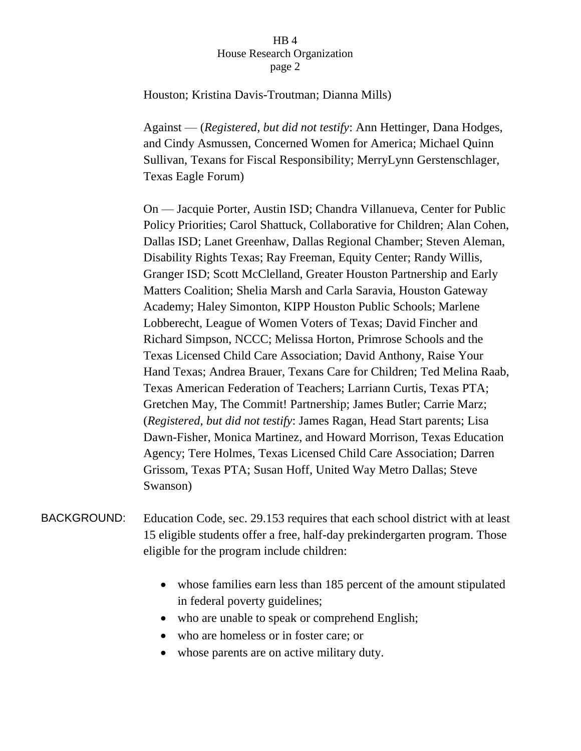Houston; Kristina Davis-Troutman; Dianna Mills)

Against — (*Registered, but did not testify*: Ann Hettinger, Dana Hodges, and Cindy Asmussen, Concerned Women for America; Michael Quinn Sullivan, Texans for Fiscal Responsibility; MerryLynn Gerstenschlager, Texas Eagle Forum)

On — Jacquie Porter, Austin ISD; Chandra Villanueva, Center for Public Policy Priorities; Carol Shattuck, Collaborative for Children; Alan Cohen, Dallas ISD; Lanet Greenhaw, Dallas Regional Chamber; Steven Aleman, Disability Rights Texas; Ray Freeman, Equity Center; Randy Willis, Granger ISD; Scott McClelland, Greater Houston Partnership and Early Matters Coalition; Shelia Marsh and Carla Saravia, Houston Gateway Academy; Haley Simonton, KIPP Houston Public Schools; Marlene Lobberecht, League of Women Voters of Texas; David Fincher and Richard Simpson, NCCC; Melissa Horton, Primrose Schools and the Texas Licensed Child Care Association; David Anthony, Raise Your Hand Texas; Andrea Brauer, Texans Care for Children; Ted Melina Raab, Texas American Federation of Teachers; Larriann Curtis, Texas PTA; Gretchen May, The Commit! Partnership; James Butler; Carrie Marz; (*Registered, but did not testify*: James Ragan, Head Start parents; Lisa Dawn-Fisher, Monica Martinez, and Howard Morrison, Texas Education Agency; Tere Holmes, Texas Licensed Child Care Association; Darren Grissom, Texas PTA; Susan Hoff, United Way Metro Dallas; Steve Swanson)

BACKGROUND: Education Code, sec. 29.153 requires that each school district with at least 15 eligible students offer a free, half-day prekindergarten program. Those eligible for the program include children:

- whose families earn less than 185 percent of the amount stipulated in federal poverty guidelines;
- who are unable to speak or comprehend English;
- who are homeless or in foster care; or
- whose parents are on active military duty.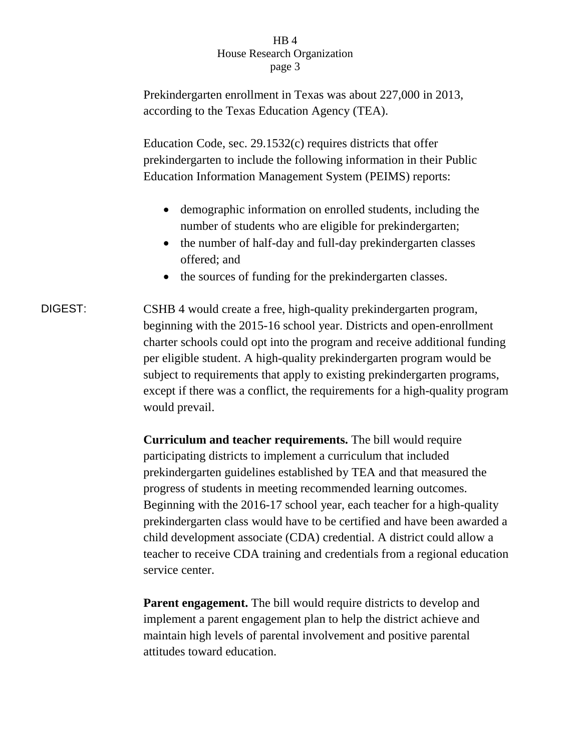Prekindergarten enrollment in Texas was about 227,000 in 2013, according to the Texas Education Agency (TEA).

Education Code, sec. 29.1532(c) requires districts that offer prekindergarten to include the following information in their Public Education Information Management System (PEIMS) reports:

- demographic information on enrolled students, including the number of students who are eligible for prekindergarten;
- the number of half-day and full-day prekindergarten classes offered; and
- the sources of funding for the prekindergarten classes.
- DIGEST: CSHB 4 would create a free, high-quality prekindergarten program, beginning with the 2015-16 school year. Districts and open-enrollment charter schools could opt into the program and receive additional funding per eligible student. A high-quality prekindergarten program would be subject to requirements that apply to existing prekindergarten programs, except if there was a conflict, the requirements for a high-quality program would prevail.

**Curriculum and teacher requirements.** The bill would require participating districts to implement a curriculum that included prekindergarten guidelines established by TEA and that measured the progress of students in meeting recommended learning outcomes. Beginning with the 2016-17 school year, each teacher for a high-quality prekindergarten class would have to be certified and have been awarded a child development associate (CDA) credential. A district could allow a teacher to receive CDA training and credentials from a regional education service center.

**Parent engagement.** The bill would require districts to develop and implement a parent engagement plan to help the district achieve and maintain high levels of parental involvement and positive parental attitudes toward education.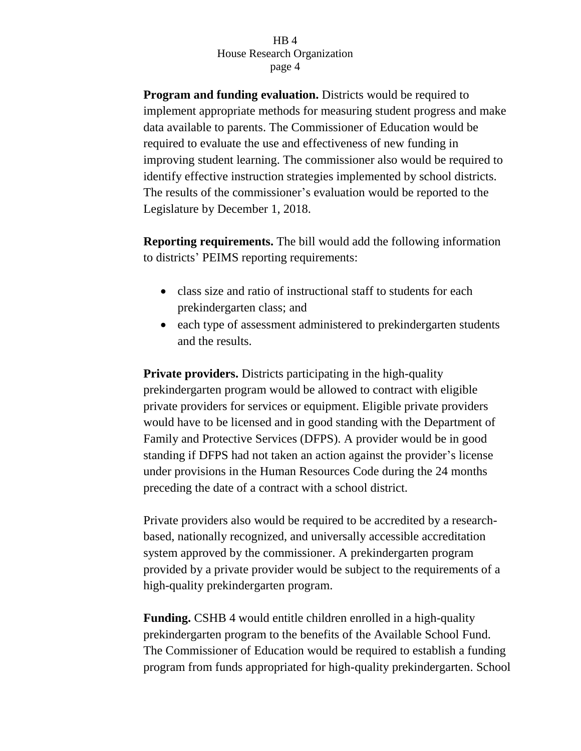**Program and funding evaluation.** Districts would be required to implement appropriate methods for measuring student progress and make data available to parents. The Commissioner of Education would be required to evaluate the use and effectiveness of new funding in improving student learning. The commissioner also would be required to identify effective instruction strategies implemented by school districts. The results of the commissioner's evaluation would be reported to the Legislature by December 1, 2018.

**Reporting requirements.** The bill would add the following information to districts' PEIMS reporting requirements:

- class size and ratio of instructional staff to students for each prekindergarten class; and
- each type of assessment administered to prekindergarten students and the results.

**Private providers.** Districts participating in the high-quality prekindergarten program would be allowed to contract with eligible private providers for services or equipment. Eligible private providers would have to be licensed and in good standing with the Department of Family and Protective Services (DFPS). A provider would be in good standing if DFPS had not taken an action against the provider's license under provisions in the Human Resources Code during the 24 months preceding the date of a contract with a school district.

Private providers also would be required to be accredited by a researchbased, nationally recognized, and universally accessible accreditation system approved by the commissioner. A prekindergarten program provided by a private provider would be subject to the requirements of a high-quality prekindergarten program.

**Funding.** CSHB 4 would entitle children enrolled in a high-quality prekindergarten program to the benefits of the Available School Fund. The Commissioner of Education would be required to establish a funding program from funds appropriated for high-quality prekindergarten. School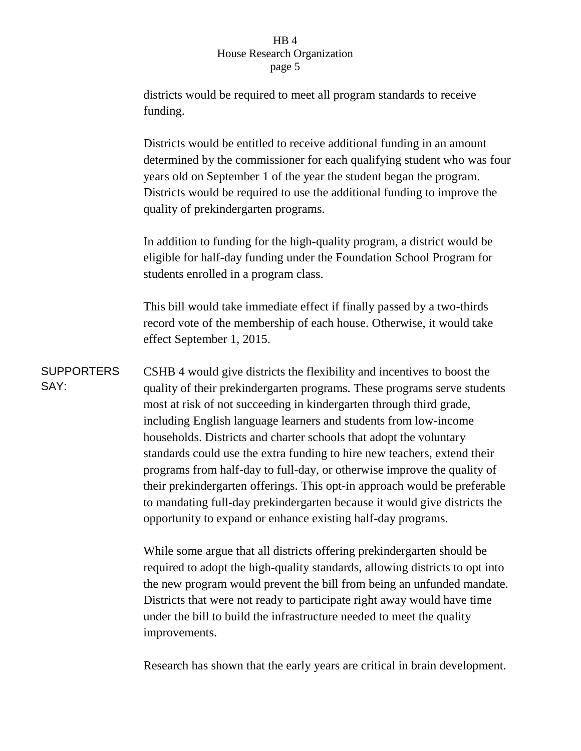# $HR<sub>4</sub>$ House Research Organization page 5

districts would be required to meet all program standards to receive funding.

Districts would be entitled to receive additional funding in an amount determined by the commissioner for each qualifying student who was four years old on September 1 of the year the student began the program. Districts would be required to use the additional funding to improve the quality of prekindergarten programs.

In addition to funding for the high-quality program, a district would be eligible for half-day funding under the Foundation School Program for students enrolled in a program class.

This bill would take immediate effect if finally passed by a two-thirds record vote of the membership of each house. Otherwise, it would take effect September 1, 2015.

**SUPPORTERS** SAY: CSHB 4 would give districts the flexibility and incentives to boost the quality of their prekindergarten programs. These programs serve students most at risk of not succeeding in kindergarten through third grade, including English language learners and students from low-income households. Districts and charter schools that adopt the voluntary standards could use the extra funding to hire new teachers, extend their programs from half-day to full-day, or otherwise improve the quality of their prekindergarten offerings. This opt-in approach would be preferable to mandating full-day prekindergarten because it would give districts the opportunity to expand or enhance existing half-day programs.

> While some argue that all districts offering prekindergarten should be required to adopt the high-quality standards, allowing districts to opt into the new program would prevent the bill from being an unfunded mandate. Districts that were not ready to participate right away would have time under the bill to build the infrastructure needed to meet the quality improvements.

> Research has shown that the early years are critical in brain development.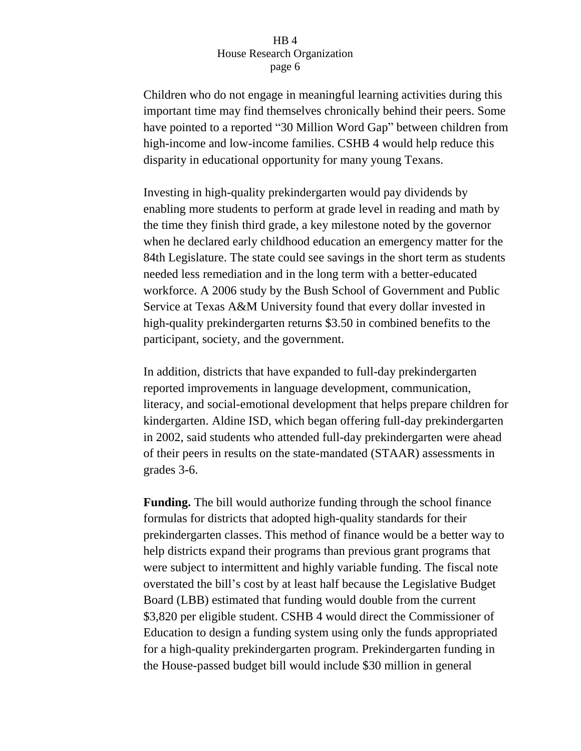Children who do not engage in meaningful learning activities during this important time may find themselves chronically behind their peers. Some have pointed to a reported "30 Million Word Gap" between children from high-income and low-income families. CSHB 4 would help reduce this disparity in educational opportunity for many young Texans.

Investing in high-quality prekindergarten would pay dividends by enabling more students to perform at grade level in reading and math by the time they finish third grade, a key milestone noted by the governor when he declared early childhood education an emergency matter for the 84th Legislature. The state could see savings in the short term as students needed less remediation and in the long term with a better-educated workforce. A 2006 study by the Bush School of Government and Public Service at Texas A&M University found that every dollar invested in high-quality prekindergarten returns \$3.50 in combined benefits to the participant, society, and the government.

In addition, districts that have expanded to full-day prekindergarten reported improvements in language development, communication, literacy, and social-emotional development that helps prepare children for kindergarten. Aldine ISD, which began offering full-day prekindergarten in 2002, said students who attended full-day prekindergarten were ahead of their peers in results on the state-mandated (STAAR) assessments in grades 3-6.

**Funding.** The bill would authorize funding through the school finance formulas for districts that adopted high-quality standards for their prekindergarten classes. This method of finance would be a better way to help districts expand their programs than previous grant programs that were subject to intermittent and highly variable funding. The fiscal note overstated the bill's cost by at least half because the Legislative Budget Board (LBB) estimated that funding would double from the current \$3,820 per eligible student. CSHB 4 would direct the Commissioner of Education to design a funding system using only the funds appropriated for a high-quality prekindergarten program. Prekindergarten funding in the House-passed budget bill would include \$30 million in general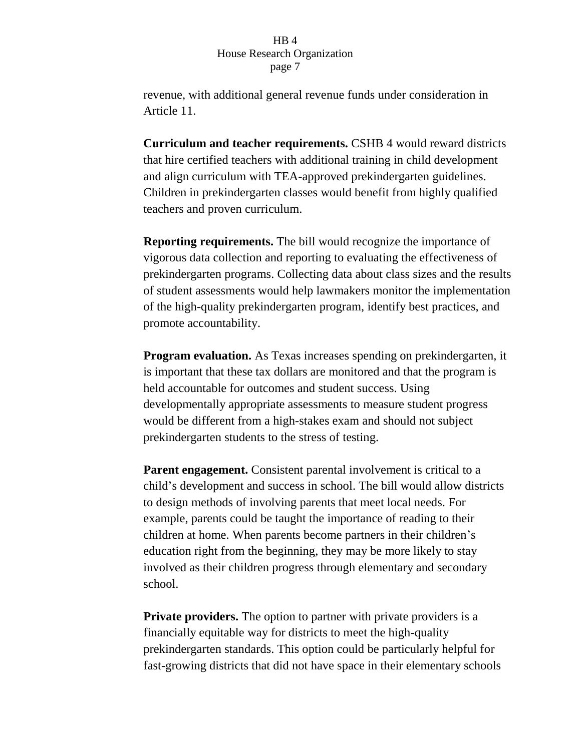revenue, with additional general revenue funds under consideration in Article 11.

**Curriculum and teacher requirements.** CSHB 4 would reward districts that hire certified teachers with additional training in child development and align curriculum with TEA-approved prekindergarten guidelines. Children in prekindergarten classes would benefit from highly qualified teachers and proven curriculum.

**Reporting requirements.** The bill would recognize the importance of vigorous data collection and reporting to evaluating the effectiveness of prekindergarten programs. Collecting data about class sizes and the results of student assessments would help lawmakers monitor the implementation of the high-quality prekindergarten program, identify best practices, and promote accountability.

**Program evaluation.** As Texas increases spending on prekindergarten, it is important that these tax dollars are monitored and that the program is held accountable for outcomes and student success. Using developmentally appropriate assessments to measure student progress would be different from a high-stakes exam and should not subject prekindergarten students to the stress of testing.

**Parent engagement.** Consistent parental involvement is critical to a child's development and success in school. The bill would allow districts to design methods of involving parents that meet local needs. For example, parents could be taught the importance of reading to their children at home. When parents become partners in their children's education right from the beginning, they may be more likely to stay involved as their children progress through elementary and secondary school.

**Private providers.** The option to partner with private providers is a financially equitable way for districts to meet the high-quality prekindergarten standards. This option could be particularly helpful for fast-growing districts that did not have space in their elementary schools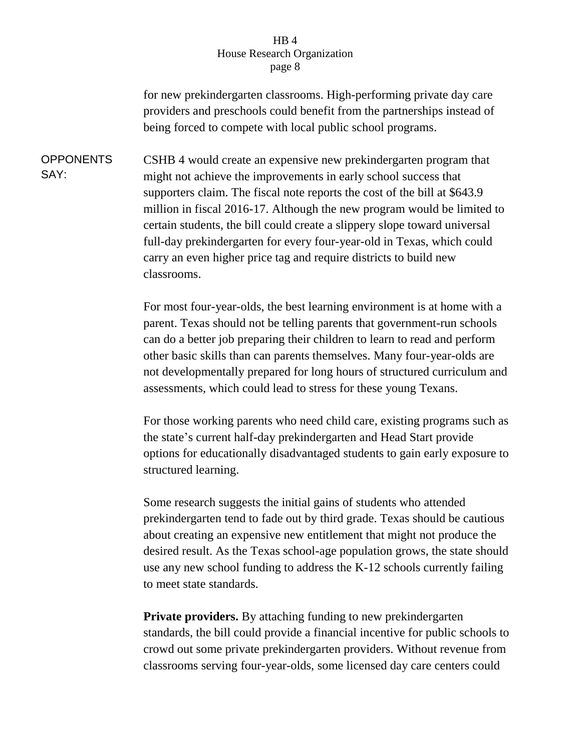for new prekindergarten classrooms. High-performing private day care providers and preschools could benefit from the partnerships instead of being forced to compete with local public school programs.

**OPPONENTS** SAY: CSHB 4 would create an expensive new prekindergarten program that might not achieve the improvements in early school success that supporters claim. The fiscal note reports the cost of the bill at \$643.9 million in fiscal 2016-17. Although the new program would be limited to certain students, the bill could create a slippery slope toward universal full-day prekindergarten for every four-year-old in Texas, which could carry an even higher price tag and require districts to build new classrooms.

> For most four-year-olds, the best learning environment is at home with a parent. Texas should not be telling parents that government-run schools can do a better job preparing their children to learn to read and perform other basic skills than can parents themselves. Many four-year-olds are not developmentally prepared for long hours of structured curriculum and assessments, which could lead to stress for these young Texans.

> For those working parents who need child care, existing programs such as the state's current half-day prekindergarten and Head Start provide options for educationally disadvantaged students to gain early exposure to structured learning.

> Some research suggests the initial gains of students who attended prekindergarten tend to fade out by third grade. Texas should be cautious about creating an expensive new entitlement that might not produce the desired result. As the Texas school-age population grows, the state should use any new school funding to address the K-12 schools currently failing to meet state standards.

> **Private providers.** By attaching funding to new prekindergarten standards, the bill could provide a financial incentive for public schools to crowd out some private prekindergarten providers. Without revenue from classrooms serving four-year-olds, some licensed day care centers could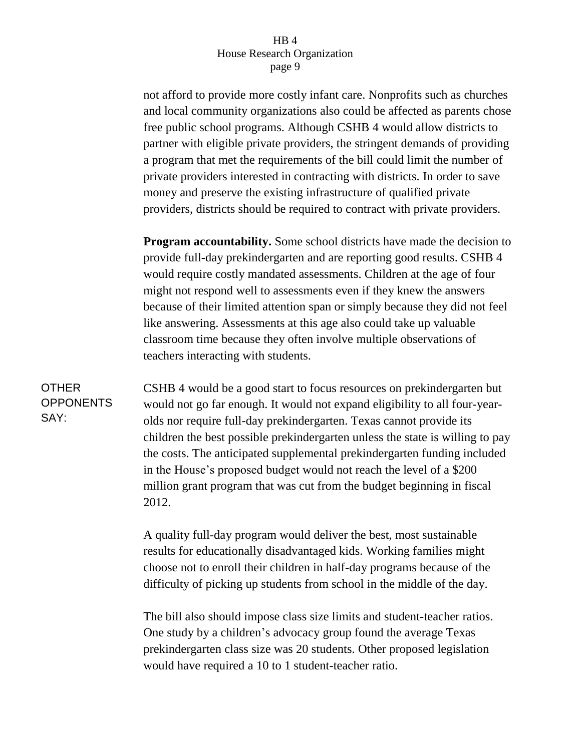not afford to provide more costly infant care. Nonprofits such as churches and local community organizations also could be affected as parents chose free public school programs. Although CSHB 4 would allow districts to partner with eligible private providers, the stringent demands of providing a program that met the requirements of the bill could limit the number of private providers interested in contracting with districts. In order to save money and preserve the existing infrastructure of qualified private providers, districts should be required to contract with private providers.

**Program accountability.** Some school districts have made the decision to provide full-day prekindergarten and are reporting good results. CSHB 4 would require costly mandated assessments. Children at the age of four might not respond well to assessments even if they knew the answers because of their limited attention span or simply because they did not feel like answering. Assessments at this age also could take up valuable classroom time because they often involve multiple observations of teachers interacting with students.

**OTHER OPPONENTS** SAY:

CSHB 4 would be a good start to focus resources on prekindergarten but would not go far enough. It would not expand eligibility to all four-yearolds nor require full-day prekindergarten. Texas cannot provide its children the best possible prekindergarten unless the state is willing to pay the costs. The anticipated supplemental prekindergarten funding included in the House's proposed budget would not reach the level of a \$200 million grant program that was cut from the budget beginning in fiscal 2012.

A quality full-day program would deliver the best, most sustainable results for educationally disadvantaged kids. Working families might choose not to enroll their children in half-day programs because of the difficulty of picking up students from school in the middle of the day.

The bill also should impose class size limits and student-teacher ratios. One study by a children's advocacy group found the average Texas prekindergarten class size was 20 students. Other proposed legislation would have required a 10 to 1 student-teacher ratio.